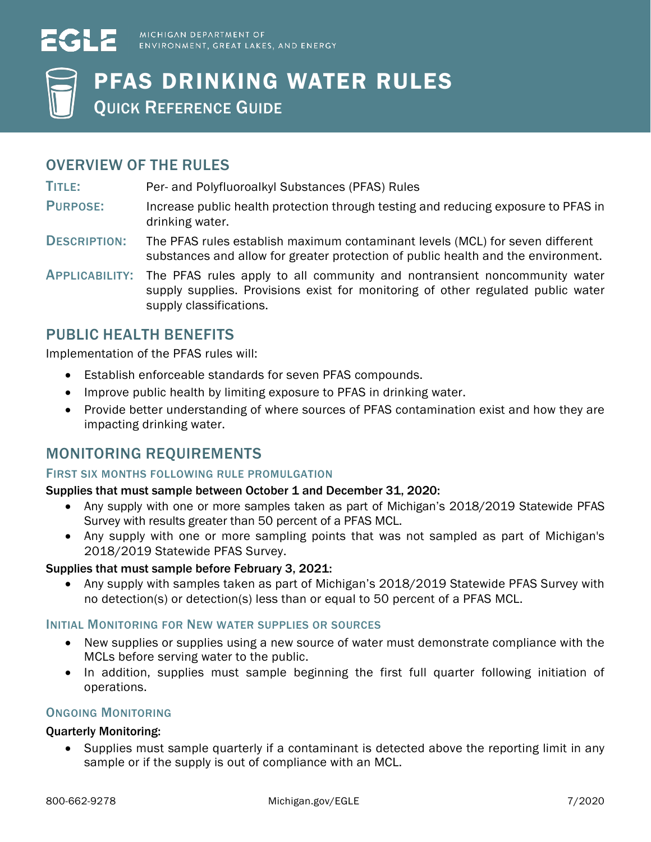



# PFAS DRINKING WATER RULES

QUICK REFERENCE GUIDE

### OVERVIEW OF THE RULES

TITLE: Per- and Polyfluoroalkyl Substances (PFAS) Rules

- PURPOSE: Increase public health protection through testing and reducing exposure to PFAS in drinking water.
- DESCRIPTION: The PFAS rules establish maximum contaminant levels (MCL) for seven different substances and allow for greater protection of public health and the environment.
- APPLICABILITY: The PFAS rules apply to all community and nontransient noncommunity water supply supplies. Provisions exist for monitoring of other regulated public water supply classifications.

### PUBLIC HEALTH BENEFITS

Implementation of the PFAS rules will:

- Establish enforceable standards for seven PFAS compounds.
- Improve public health by limiting exposure to PFAS in drinking water.
- Provide better understanding of where sources of PFAS contamination exist and how they are impacting drinking water.

### MONITORING REQUIREMENTS

#### FIRST SIX MONTHS FOLLOWING RULE PROMULGATION

#### Supplies that must sample between October 1 and December 31, 2020:

- Any supply with one or more samples taken as part of Michigan's 2018/2019 Statewide PFAS Survey with results greater than 50 percent of a PFAS MCL.
- Any supply with one or more sampling points that was not sampled as part of Michigan's 2018/2019 Statewide PFAS Survey.

#### Supplies that must sample before February 3, 2021:

• Any supply with samples taken as part of Michigan's 2018/2019 Statewide PFAS Survey with no detection(s) or detection(s) less than or equal to 50 percent of a PFAS MCL.

#### INITIAL MONITORING FOR NEW WATER SUPPLIES OR SOURCES

- New supplies or supplies using a new source of water must demonstrate compliance with the MCLs before serving water to the public.
- In addition, supplies must sample beginning the first full quarter following initiation of operations.

#### ONGOING MONITORING

#### Quarterly Monitoring:

• Supplies must sample quarterly if a contaminant is detected above the reporting limit in any sample or if the supply is out of compliance with an MCL.